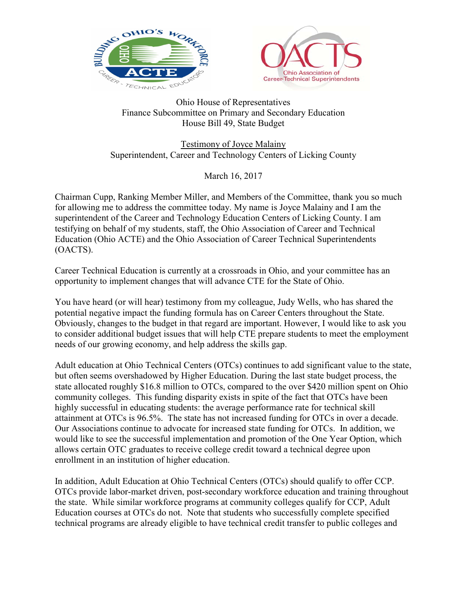



## Ohio House of Representatives Finance Subcommittee on Primary and Secondary Education House Bill 49, State Budget

Testimony of Joyce Malainy Superintendent, Career and Technology Centers of Licking County

March 16, 2017

Chairman Cupp, Ranking Member Miller, and Members of the Committee, thank you so much for allowing me to address the committee today. My name is Joyce Malainy and I am the superintendent of the Career and Technology Education Centers of Licking County. I am testifying on behalf of my students, staff, the Ohio Association of Career and Technical Education (Ohio ACTE) and the Ohio Association of Career Technical Superintendents (OACTS).

Career Technical Education is currently at a crossroads in Ohio, and your committee has an opportunity to implement changes that will advance CTE for the State of Ohio.

You have heard (or will hear) testimony from my colleague, Judy Wells, who has shared the potential negative impact the funding formula has on Career Centers throughout the State. Obviously, changes to the budget in that regard are important. However, I would like to ask you to consider additional budget issues that will help CTE prepare students to meet the employment needs of our growing economy, and help address the skills gap.

Adult education at Ohio Technical Centers (OTCs) continues to add significant value to the state, but often seems overshadowed by Higher Education. During the last state budget process, the state allocated roughly \$16.8 million to OTCs, compared to the over \$420 million spent on Ohio community colleges. This funding disparity exists in spite of the fact that OTCs have been highly successful in educating students: the average performance rate for technical skill attainment at OTCs is 96.5%. The state has not increased funding for OTCs in over a decade. Our Associations continue to advocate for increased state funding for OTCs. In addition, we would like to see the successful implementation and promotion of the One Year Option, which allows certain OTC graduates to receive college credit toward a technical degree upon enrollment in an institution of higher education.

In addition, Adult Education at Ohio Technical Centers (OTCs) should qualify to offer CCP. OTCs provide labor-market driven, post-secondary workforce education and training throughout the state. While similar workforce programs at community colleges qualify for CCP, Adult Education courses at OTCs do not. Note that students who successfully complete specified technical programs are already eligible to have technical credit transfer to public colleges and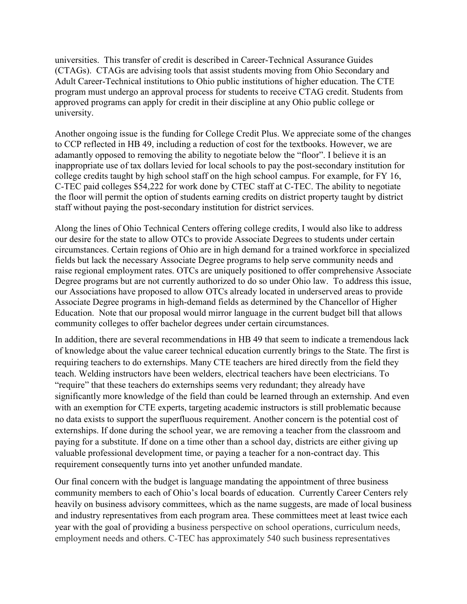universities. This transfer of credit is described in Career-Technical Assurance Guides (CTAGs). CTAGs are advising tools that assist students moving from Ohio Secondary and Adult Career-Technical institutions to Ohio public institutions of higher education. The CTE program must undergo an approval process for students to receive CTAG credit. Students from approved programs can apply for credit in their discipline at any Ohio public college or university.

Another ongoing issue is the funding for College Credit Plus. We appreciate some of the changes to CCP reflected in HB 49, including a reduction of cost for the textbooks. However, we are adamantly opposed to removing the ability to negotiate below the "floor". I believe it is an inappropriate use of tax dollars levied for local schools to pay the post-secondary institution for college credits taught by high school staff on the high school campus. For example, for FY 16, C-TEC paid colleges \$54,222 for work done by CTEC staff at C-TEC. The ability to negotiate the floor will permit the option of students earning credits on district property taught by district staff without paying the post-secondary institution for district services.

Along the lines of Ohio Technical Centers offering college credits, I would also like to address our desire for the state to allow OTCs to provide Associate Degrees to students under certain circumstances. Certain regions of Ohio are in high demand for a trained workforce in specialized fields but lack the necessary Associate Degree programs to help serve community needs and raise regional employment rates. OTCs are uniquely positioned to offer comprehensive Associate Degree programs but are not currently authorized to do so under Ohio law. To address this issue, our Associations have proposed to allow OTCs already located in underserved areas to provide Associate Degree programs in high-demand fields as determined by the Chancellor of Higher Education. Note that our proposal would mirror language in the current budget bill that allows community colleges to offer bachelor degrees under certain circumstances.

In addition, there are several recommendations in HB 49 that seem to indicate a tremendous lack of knowledge about the value career technical education currently brings to the State. The first is requiring teachers to do externships. Many CTE teachers are hired directly from the field they teach. Welding instructors have been welders, electrical teachers have been electricians. To "require" that these teachers do externships seems very redundant; they already have significantly more knowledge of the field than could be learned through an externship. And even with an exemption for CTE experts, targeting academic instructors is still problematic because no data exists to support the superfluous requirement. Another concern is the potential cost of externships. If done during the school year, we are removing a teacher from the classroom and paying for a substitute. If done on a time other than a school day, districts are either giving up valuable professional development time, or paying a teacher for a non-contract day. This requirement consequently turns into yet another unfunded mandate.

Our final concern with the budget is language mandating the appointment of three business community members to each of Ohio's local boards of education. Currently Career Centers rely heavily on business advisory committees, which as the name suggests, are made of local business and industry representatives from each program area. These committees meet at least twice each year with the goal of providing a business perspective on school operations, curriculum needs, employment needs and others. C-TEC has approximately 540 such business representatives